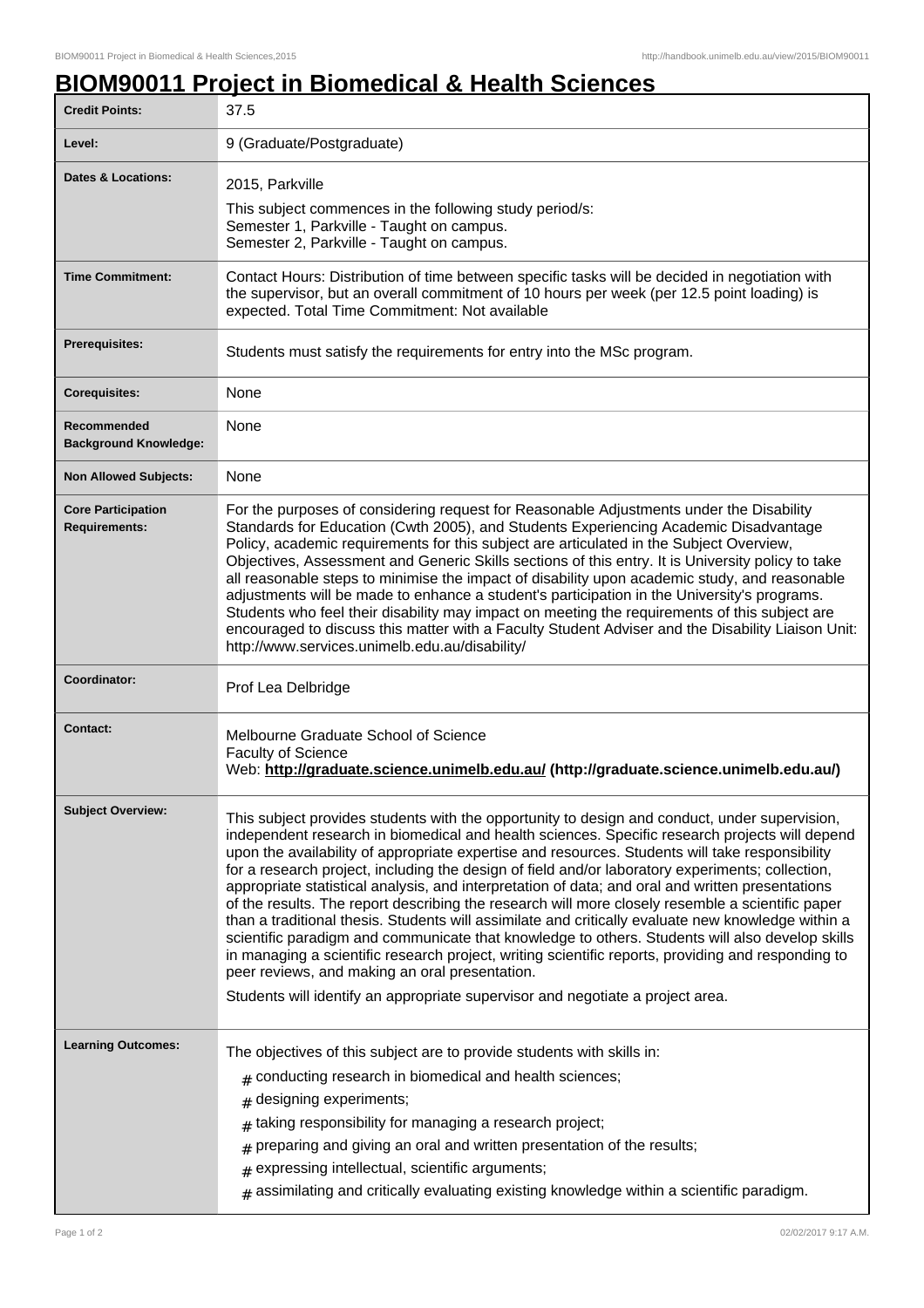## **BIOM90011 Project in Biomedical & Health Sciences**

| <b>Credit Points:</b>                             | 37.5                                                                                                                                                                                                                                                                                                                                                                                                                                                                                                                                                                                                                                                                                                                                                                                                                                                                                                                                                                                                                                                              |
|---------------------------------------------------|-------------------------------------------------------------------------------------------------------------------------------------------------------------------------------------------------------------------------------------------------------------------------------------------------------------------------------------------------------------------------------------------------------------------------------------------------------------------------------------------------------------------------------------------------------------------------------------------------------------------------------------------------------------------------------------------------------------------------------------------------------------------------------------------------------------------------------------------------------------------------------------------------------------------------------------------------------------------------------------------------------------------------------------------------------------------|
| Level:                                            | 9 (Graduate/Postgraduate)                                                                                                                                                                                                                                                                                                                                                                                                                                                                                                                                                                                                                                                                                                                                                                                                                                                                                                                                                                                                                                         |
| Dates & Locations:                                | 2015, Parkville<br>This subject commences in the following study period/s:<br>Semester 1, Parkville - Taught on campus.<br>Semester 2, Parkville - Taught on campus.                                                                                                                                                                                                                                                                                                                                                                                                                                                                                                                                                                                                                                                                                                                                                                                                                                                                                              |
| <b>Time Commitment:</b>                           | Contact Hours: Distribution of time between specific tasks will be decided in negotiation with<br>the supervisor, but an overall commitment of 10 hours per week (per 12.5 point loading) is<br>expected. Total Time Commitment: Not available                                                                                                                                                                                                                                                                                                                                                                                                                                                                                                                                                                                                                                                                                                                                                                                                                    |
| <b>Prerequisites:</b>                             | Students must satisfy the requirements for entry into the MSc program.                                                                                                                                                                                                                                                                                                                                                                                                                                                                                                                                                                                                                                                                                                                                                                                                                                                                                                                                                                                            |
| <b>Corequisites:</b>                              | None                                                                                                                                                                                                                                                                                                                                                                                                                                                                                                                                                                                                                                                                                                                                                                                                                                                                                                                                                                                                                                                              |
| Recommended<br><b>Background Knowledge:</b>       | None                                                                                                                                                                                                                                                                                                                                                                                                                                                                                                                                                                                                                                                                                                                                                                                                                                                                                                                                                                                                                                                              |
| <b>Non Allowed Subjects:</b>                      | None                                                                                                                                                                                                                                                                                                                                                                                                                                                                                                                                                                                                                                                                                                                                                                                                                                                                                                                                                                                                                                                              |
| <b>Core Participation</b><br><b>Requirements:</b> | For the purposes of considering request for Reasonable Adjustments under the Disability<br>Standards for Education (Cwth 2005), and Students Experiencing Academic Disadvantage<br>Policy, academic requirements for this subject are articulated in the Subject Overview,<br>Objectives, Assessment and Generic Skills sections of this entry. It is University policy to take<br>all reasonable steps to minimise the impact of disability upon academic study, and reasonable<br>adjustments will be made to enhance a student's participation in the University's programs.<br>Students who feel their disability may impact on meeting the requirements of this subject are<br>encouraged to discuss this matter with a Faculty Student Adviser and the Disability Liaison Unit:<br>http://www.services.unimelb.edu.au/disability/                                                                                                                                                                                                                           |
| Coordinator:                                      | Prof Lea Delbridge                                                                                                                                                                                                                                                                                                                                                                                                                                                                                                                                                                                                                                                                                                                                                                                                                                                                                                                                                                                                                                                |
| <b>Contact:</b>                                   | Melbourne Graduate School of Science<br><b>Faculty of Science</b><br>Web: http://graduate.science.unimelb.edu.au/ (http://graduate.science.unimelb.edu.au/)                                                                                                                                                                                                                                                                                                                                                                                                                                                                                                                                                                                                                                                                                                                                                                                                                                                                                                       |
| <b>Subject Overview:</b>                          | This subject provides students with the opportunity to design and conduct, under supervision,<br>independent research in biomedical and health sciences. Specific research projects will depend<br>upon the availability of appropriate expertise and resources. Students will take responsibility<br>for a research project, including the design of field and/or laboratory experiments; collection,<br>appropriate statistical analysis, and interpretation of data; and oral and written presentations<br>of the results. The report describing the research will more closely resemble a scientific paper<br>than a traditional thesis. Students will assimilate and critically evaluate new knowledge within a<br>scientific paradigm and communicate that knowledge to others. Students will also develop skills<br>in managing a scientific research project, writing scientific reports, providing and responding to<br>peer reviews, and making an oral presentation.<br>Students will identify an appropriate supervisor and negotiate a project area. |
| <b>Learning Outcomes:</b>                         | The objectives of this subject are to provide students with skills in:<br>conducting research in biomedical and health sciences;<br>#<br>designing experiments;<br>#<br>taking responsibility for managing a research project;<br>#<br>preparing and giving an oral and written presentation of the results;<br>expressing intellectual, scientific arguments;<br>#<br>assimilating and critically evaluating existing knowledge within a scientific paradigm.                                                                                                                                                                                                                                                                                                                                                                                                                                                                                                                                                                                                    |